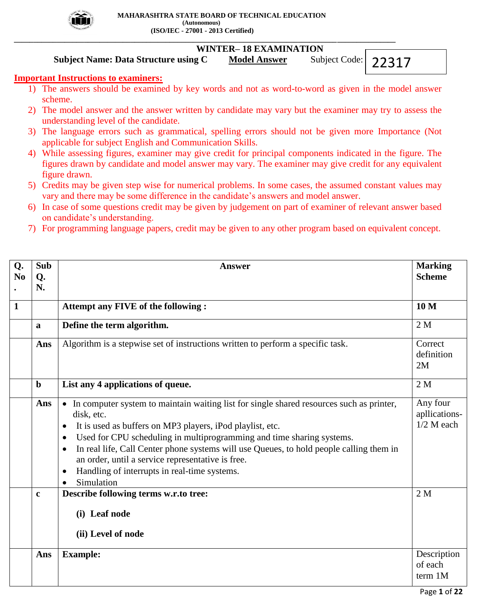

## **\_\_\_\_\_\_\_\_\_\_\_\_\_\_\_\_\_\_\_\_\_\_\_\_\_\_\_\_\_\_\_\_\_\_\_\_\_\_\_\_\_\_\_\_\_\_\_\_\_\_\_\_\_\_\_\_\_\_\_\_\_\_\_\_\_\_\_\_\_\_\_\_\_\_\_\_\_\_\_\_\_\_\_\_\_\_\_\_\_\_\_\_\_\_\_\_\_\_ WINTER– 18 EXAMINATION**

## **Subject Name: Data Structure using C** Model Answer Subject Code: 22317

# **Important Instructions to examiners:**

- 1) The answers should be examined by key words and not as word-to-word as given in the model answer scheme.
- 2) The model answer and the answer written by candidate may vary but the examiner may try to assess the understanding level of the candidate.
- 3) The language errors such as grammatical, spelling errors should not be given more Importance (Not applicable for subject English and Communication Skills.
- 4) While assessing figures, examiner may give credit for principal components indicated in the figure. The figures drawn by candidate and model answer may vary. The examiner may give credit for any equivalent figure drawn.
- 5) Credits may be given step wise for numerical problems. In some cases, the assumed constant values may vary and there may be some difference in the candidate's answers and model answer.
- 6) In case of some questions credit may be given by judgement on part of examiner of relevant answer based on candidate's understanding.
- 7) For programming language papers, credit may be given to any other program based on equivalent concept.

| Q.             | <b>Sub</b>   | <b>Answer</b>                                                                                                                                                                                                                                                                                                                                                                                                                                                             | <b>Marking</b>                            |
|----------------|--------------|---------------------------------------------------------------------------------------------------------------------------------------------------------------------------------------------------------------------------------------------------------------------------------------------------------------------------------------------------------------------------------------------------------------------------------------------------------------------------|-------------------------------------------|
| N <sub>0</sub> | Q.<br>N.     |                                                                                                                                                                                                                                                                                                                                                                                                                                                                           | <b>Scheme</b>                             |
|                |              |                                                                                                                                                                                                                                                                                                                                                                                                                                                                           |                                           |
| $\mathbf{1}$   |              | Attempt any FIVE of the following :                                                                                                                                                                                                                                                                                                                                                                                                                                       | 10 <sub>M</sub>                           |
|                | a            | Define the term algorithm.                                                                                                                                                                                                                                                                                                                                                                                                                                                | 2 <sub>M</sub>                            |
|                | Ans          | Algorithm is a stepwise set of instructions written to perform a specific task.                                                                                                                                                                                                                                                                                                                                                                                           | Correct<br>definition<br>2M               |
|                | $\mathbf b$  | List any 4 applications of queue.                                                                                                                                                                                                                                                                                                                                                                                                                                         | 2 <sub>M</sub>                            |
|                | Ans          | • In computer system to maintain waiting list for single shared resources such as printer,<br>disk, etc.<br>It is used as buffers on MP3 players, iPod playlist, etc.<br>$\bullet$<br>Used for CPU scheduling in multiprogramming and time sharing systems.<br>In real life, Call Center phone systems will use Queues, to hold people calling them in<br>an order, until a service representative is free.<br>Handling of interrupts in real-time systems.<br>Simulation | Any four<br>apllications-<br>$1/2$ M each |
|                | $\mathbf{c}$ | Describe following terms w.r.to tree:<br>(i) Leaf node<br>(ii) Level of node                                                                                                                                                                                                                                                                                                                                                                                              | 2 <sub>M</sub>                            |
|                | Ans          | <b>Example:</b>                                                                                                                                                                                                                                                                                                                                                                                                                                                           | Description<br>of each<br>term 1M         |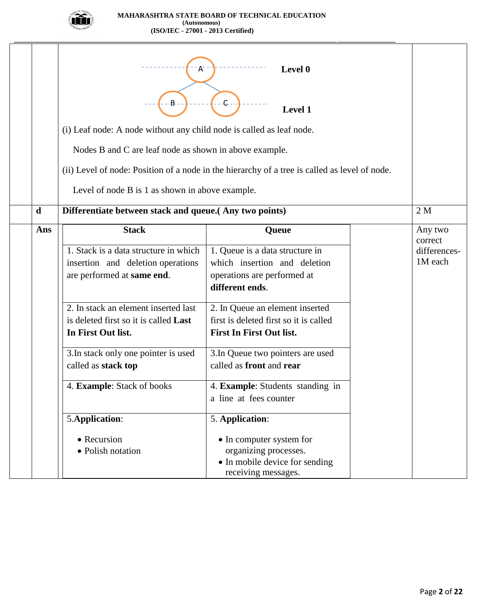

|             | $\mathsf{A}^{\mathsf{c}}$<br>B<br>(i) Leaf node: A node without any child node is called as leaf node.<br>Nodes B and C are leaf node as shown in above example. | Level 0<br>$C -$<br><b>Level 1</b><br>(ii) Level of node: Position of a node in the hierarchy of a tree is called as level of node.                           |  |                                               |  |  |  |  |
|-------------|------------------------------------------------------------------------------------------------------------------------------------------------------------------|---------------------------------------------------------------------------------------------------------------------------------------------------------------|--|-----------------------------------------------|--|--|--|--|
|             | Level of node B is 1 as shown in above example.                                                                                                                  |                                                                                                                                                               |  |                                               |  |  |  |  |
| $\mathbf d$ | Differentiate between stack and queue. (Any two points)<br>2M                                                                                                    |                                                                                                                                                               |  |                                               |  |  |  |  |
| Ans         | <b>Stack</b><br>1. Stack is a data structure in which<br>insertion and deletion operations<br>are performed at same end.<br>2. In stack an element inserted last | Queue<br>1. Queue is a data structure in<br>which insertion and deletion<br>operations are performed at<br>different ends.<br>2. In Queue an element inserted |  | Any two<br>correct<br>differences-<br>1M each |  |  |  |  |
|             | is deleted first so it is called <b>Last</b><br>In First Out list.<br>3. In stack only one pointer is used<br>called as stack top                                | first is deleted first so it is called<br><b>First In First Out list.</b><br>3. In Queue two pointers are used<br>called as front and rear                    |  |                                               |  |  |  |  |
|             | 4. Example: Stack of books                                                                                                                                       | 4. Example: Students standing in<br>a line at fees counter                                                                                                    |  |                                               |  |  |  |  |
|             | 5.Application:<br>• Recursion<br>• Polish notation                                                                                                               | 5. Application:<br>• In computer system for<br>organizing processes.<br>• In mobile device for sending<br>receiving messages.                                 |  |                                               |  |  |  |  |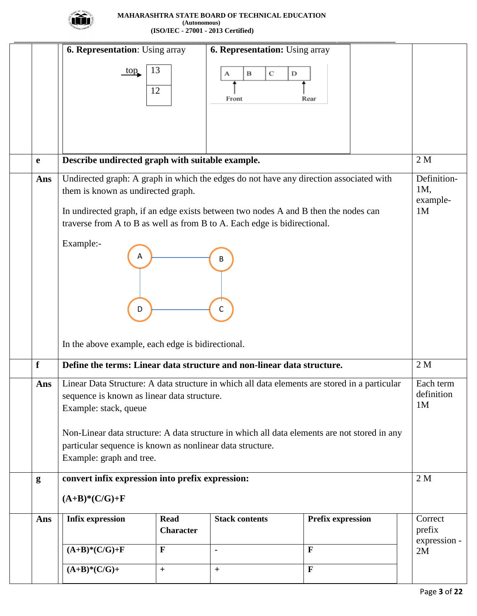

|             | <b>6. Representation:</b> Using array                                                  |                  | <b>6. Representation:</b> Using array |                                                                                                     |                         |  |  |  |
|-------------|----------------------------------------------------------------------------------------|------------------|---------------------------------------|-----------------------------------------------------------------------------------------------------|-------------------------|--|--|--|
|             | 13<br>top                                                                              |                  | в<br>С<br>D<br>А                      |                                                                                                     |                         |  |  |  |
|             | 12                                                                                     |                  |                                       |                                                                                                     |                         |  |  |  |
|             |                                                                                        |                  | Front                                 | Rear                                                                                                |                         |  |  |  |
|             |                                                                                        |                  |                                       |                                                                                                     |                         |  |  |  |
|             |                                                                                        |                  |                                       |                                                                                                     |                         |  |  |  |
|             |                                                                                        |                  |                                       |                                                                                                     |                         |  |  |  |
| e           | Describe undirected graph with suitable example.                                       |                  |                                       |                                                                                                     | 2M                      |  |  |  |
| Ans         | Undirected graph: A graph in which the edges do not have any direction associated with |                  |                                       |                                                                                                     | Definition-             |  |  |  |
|             | them is known as undirected graph.                                                     |                  |                                       |                                                                                                     | 1M,                     |  |  |  |
|             |                                                                                        |                  |                                       |                                                                                                     | example-                |  |  |  |
|             | In undirected graph, if an edge exists between two nodes A and B then the nodes can    |                  |                                       |                                                                                                     | 1 <sub>M</sub>          |  |  |  |
|             | traverse from A to B as well as from B to A. Each edge is bidirectional.               |                  |                                       |                                                                                                     |                         |  |  |  |
|             | Example:-                                                                              |                  |                                       |                                                                                                     |                         |  |  |  |
|             | А                                                                                      |                  | В                                     |                                                                                                     |                         |  |  |  |
|             |                                                                                        |                  |                                       |                                                                                                     |                         |  |  |  |
|             |                                                                                        |                  |                                       |                                                                                                     |                         |  |  |  |
|             |                                                                                        |                  |                                       |                                                                                                     |                         |  |  |  |
|             | D                                                                                      |                  | С                                     |                                                                                                     |                         |  |  |  |
|             |                                                                                        |                  |                                       |                                                                                                     |                         |  |  |  |
|             | In the above example, each edge is bidirectional.                                      |                  |                                       |                                                                                                     |                         |  |  |  |
| $\mathbf f$ | Define the terms: Linear data structure and non-linear data structure.                 |                  |                                       |                                                                                                     | 2M                      |  |  |  |
|             |                                                                                        |                  |                                       |                                                                                                     |                         |  |  |  |
|             |                                                                                        |                  |                                       | Ans   Linear Data Structure: A data structure in which all data elements are stored in a particular | Each term<br>definition |  |  |  |
|             | sequence is known as linear data structure.<br>Example: stack, queue                   |                  |                                       |                                                                                                     | 1 <sub>M</sub>          |  |  |  |
|             |                                                                                        |                  |                                       |                                                                                                     |                         |  |  |  |
|             |                                                                                        |                  |                                       | Non-Linear data structure: A data structure in which all data elements are not stored in any        |                         |  |  |  |
|             | particular sequence is known as nonlinear data structure.                              |                  |                                       |                                                                                                     |                         |  |  |  |
|             | Example: graph and tree.                                                               |                  |                                       |                                                                                                     |                         |  |  |  |
| g           | convert infix expression into prefix expression:                                       |                  |                                       |                                                                                                     | 2M                      |  |  |  |
|             | $(A+B)*(C/G)+F$                                                                        |                  |                                       |                                                                                                     |                         |  |  |  |
|             | <b>Infix expression</b>                                                                |                  |                                       |                                                                                                     |                         |  |  |  |
|             |                                                                                        | <b>Read</b>      | <b>Stack contents</b>                 | <b>Prefix expression</b>                                                                            | Correct                 |  |  |  |
| Ans         |                                                                                        |                  |                                       |                                                                                                     |                         |  |  |  |
|             |                                                                                        | <b>Character</b> |                                       |                                                                                                     | prefix<br>expression -  |  |  |  |
|             | $(A+B)*(C/G)+F$                                                                        | $\mathbf{F}$     |                                       | $\mathbf{F}$                                                                                        | 2M                      |  |  |  |
|             | $(A+B)*(C/G)+$                                                                         | $\boldsymbol{+}$ | $+$                                   | $\mathbf{F}$                                                                                        |                         |  |  |  |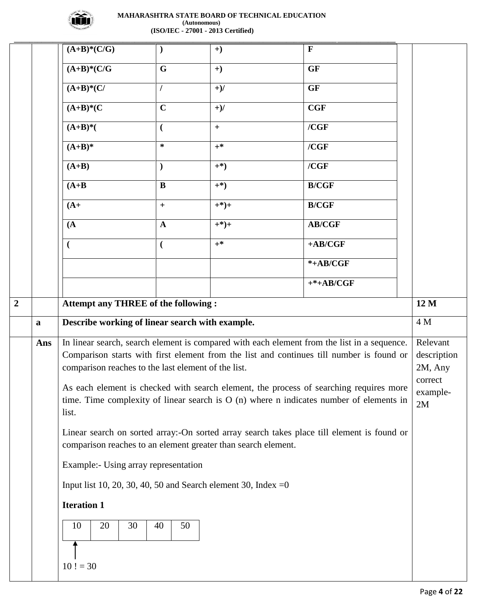

|                |             | $(A+B)*(C/G)$                                                                                                                                               | $\mathcal{E}$           | $+)$    | $\mathbf{F}$                                                                                |                        |  |  |  |  |
|----------------|-------------|-------------------------------------------------------------------------------------------------------------------------------------------------------------|-------------------------|---------|---------------------------------------------------------------------------------------------|------------------------|--|--|--|--|
|                |             | $(A+B)*(C/G)$                                                                                                                                               | $\overline{\mathbf{G}}$ | $+)$    | <b>GF</b>                                                                                   |                        |  |  |  |  |
|                |             | $(A+B)*(C/$                                                                                                                                                 | 1                       | $+$ )/  | <b>GF</b>                                                                                   |                        |  |  |  |  |
|                |             | $(A+B)^*(C)$                                                                                                                                                | $\mathbf C$             | $+$ )/  | CGF                                                                                         |                        |  |  |  |  |
|                |             | $(A+B)*$                                                                                                                                                    | $\overline{(}$          | $+$     | / <b>CGF</b>                                                                                |                        |  |  |  |  |
|                |             | $(A+B)^*$                                                                                                                                                   | $\ast$                  | $+^*$   | / <b>CGF</b>                                                                                |                        |  |  |  |  |
|                |             | $(A+B)$                                                                                                                                                     | $\mathcal{L}$           | $^{*}$  | / <b>CGF</b>                                                                                |                        |  |  |  |  |
|                |             | $(A+B)$                                                                                                                                                     | $\bf{B}$                | $^{*}$  | <b>B/CGF</b>                                                                                |                        |  |  |  |  |
|                |             | $(A+$                                                                                                                                                       | $\qquad \qquad +$       | $+$ *)+ | <b>B/CGF</b>                                                                                |                        |  |  |  |  |
|                |             | (A)                                                                                                                                                         | $\mathbf A$             | $+*)+$  | <b>AB/CGF</b>                                                                               |                        |  |  |  |  |
|                |             |                                                                                                                                                             | $\overline{(}$          | $+^*$   | $+AB/CGF$                                                                                   |                        |  |  |  |  |
|                |             |                                                                                                                                                             |                         |         | $*+AB/CGF$                                                                                  |                        |  |  |  |  |
|                |             |                                                                                                                                                             |                         |         | $+*+AB/CGF$                                                                                 |                        |  |  |  |  |
| $\overline{2}$ |             | <b>Attempt any THREE of the following:</b>                                                                                                                  |                         |         |                                                                                             | 12 M                   |  |  |  |  |
|                | $\mathbf a$ | Describe working of linear search with example.                                                                                                             |                         |         |                                                                                             | 4 M                    |  |  |  |  |
|                | Ans         |                                                                                                                                                             |                         |         | In linear search, search element is compared with each element from the list in a sequence. | Relevant               |  |  |  |  |
|                |             | comparison reaches to the last element of the list.                                                                                                         |                         |         | Comparison starts with first element from the list and continues till number is found or    | description<br>2M, Any |  |  |  |  |
|                |             |                                                                                                                                                             |                         |         | As each element is checked with search element, the process of searching requires more      | correct<br>example-    |  |  |  |  |
|                |             | list.                                                                                                                                                       |                         |         | time. Time complexity of linear search is $O(n)$ where n indicates number of elements in    | 2M                     |  |  |  |  |
|                |             | Linear search on sorted array:-On sorted array search takes place till element is found or<br>comparison reaches to an element greater than search element. |                         |         |                                                                                             |                        |  |  |  |  |
|                |             | Example:- Using array representation                                                                                                                        |                         |         |                                                                                             |                        |  |  |  |  |
|                |             | Input list 10, 20, 30, 40, 50 and Search element 30, Index = $0$                                                                                            |                         |         |                                                                                             |                        |  |  |  |  |
|                |             | <b>Iteration 1</b>                                                                                                                                          |                         |         |                                                                                             |                        |  |  |  |  |
|                |             | 30<br>10<br>20                                                                                                                                              | 40<br>50                |         |                                                                                             |                        |  |  |  |  |
|                |             |                                                                                                                                                             |                         |         |                                                                                             |                        |  |  |  |  |
|                |             |                                                                                                                                                             |                         |         |                                                                                             |                        |  |  |  |  |
|                |             | $10! = 30$                                                                                                                                                  |                         |         |                                                                                             |                        |  |  |  |  |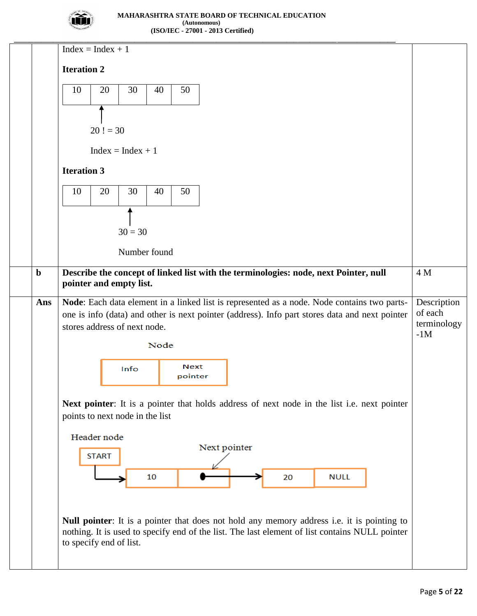

|             | $Index = Index + 1$                                                                                                                                                                                                                   |                                                |
|-------------|---------------------------------------------------------------------------------------------------------------------------------------------------------------------------------------------------------------------------------------|------------------------------------------------|
|             | <b>Iteration 2</b>                                                                                                                                                                                                                    |                                                |
|             | 30<br>40<br>10<br>20<br>50                                                                                                                                                                                                            |                                                |
|             |                                                                                                                                                                                                                                       |                                                |
|             | $20! = 30$                                                                                                                                                                                                                            |                                                |
|             | $Index = Index + 1$                                                                                                                                                                                                                   |                                                |
|             | <b>Iteration 3</b>                                                                                                                                                                                                                    |                                                |
|             | 20<br>30<br>40<br>50<br>10                                                                                                                                                                                                            |                                                |
|             |                                                                                                                                                                                                                                       |                                                |
|             | $30 = 30$                                                                                                                                                                                                                             |                                                |
|             | Number found                                                                                                                                                                                                                          |                                                |
| $\mathbf b$ | Describe the concept of linked list with the terminologies: node, next Pointer, null<br>pointer and empty list.                                                                                                                       | 4 M                                            |
| Ans         | Node: Each data element in a linked list is represented as a node. Node contains two parts-<br>one is info (data) and other is next pointer (address). Info part stores data and next pointer<br>stores address of next node.<br>Node | Description<br>of each<br>terminology<br>$-1M$ |
|             | <b>Next</b><br>Info<br>pointer                                                                                                                                                                                                        |                                                |
|             | Next pointer: It is a pointer that holds address of next node in the list i.e. next pointer<br>points to next node in the list                                                                                                        |                                                |
|             | Header node<br>Next pointer                                                                                                                                                                                                           |                                                |
|             | <b>START</b>                                                                                                                                                                                                                          |                                                |
|             | 10<br><b>NULL</b><br>20                                                                                                                                                                                                               |                                                |
|             |                                                                                                                                                                                                                                       |                                                |
|             | Null pointer: It is a pointer that does not hold any memory address i.e. it is pointing to<br>nothing. It is used to specify end of the list. The last element of list contains NULL pointer<br>to specify end of list.               |                                                |
|             |                                                                                                                                                                                                                                       |                                                |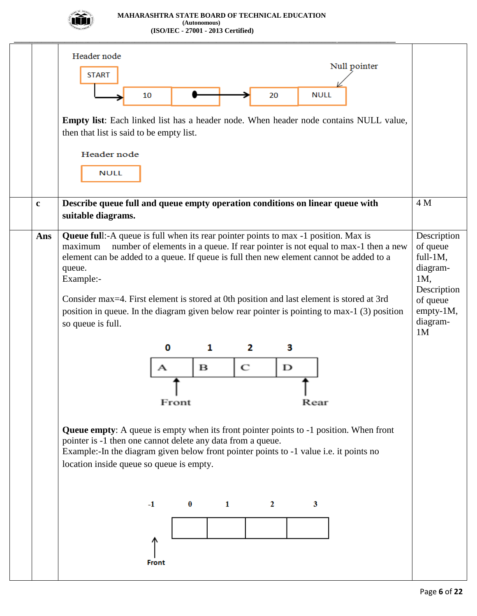

|              | Header node<br>Null pointer<br><b>START</b><br>20<br><b>NULL</b><br>10<br><b>Empty list:</b> Each linked list has a header node. When header node contains NULL value,<br>then that list is said to be empty list.<br>Header node<br><b>NULL</b>                                                                                                                                                                                                                                                                                                                                                                                                                                                                                                                                                                                                                                        |                                                                                                                     |
|--------------|-----------------------------------------------------------------------------------------------------------------------------------------------------------------------------------------------------------------------------------------------------------------------------------------------------------------------------------------------------------------------------------------------------------------------------------------------------------------------------------------------------------------------------------------------------------------------------------------------------------------------------------------------------------------------------------------------------------------------------------------------------------------------------------------------------------------------------------------------------------------------------------------|---------------------------------------------------------------------------------------------------------------------|
| $\mathbf{c}$ | Describe queue full and queue empty operation conditions on linear queue with<br>suitable diagrams.                                                                                                                                                                                                                                                                                                                                                                                                                                                                                                                                                                                                                                                                                                                                                                                     | 4 M                                                                                                                 |
| Ans          | <b>Queue full:</b> -A queue is full when its rear pointer points to max -1 position. Max is<br>number of elements in a queue. If rear pointer is not equal to max-1 then a new<br>maximum<br>element can be added to a queue. If queue is full then new element cannot be added to a<br>queue.<br>Example:-<br>Consider max=4. First element is stored at 0th position and last element is stored at 3rd<br>position in queue. In the diagram given below rear pointer is pointing to max-1 (3) position<br>so queue is full.<br>1<br>2<br>3<br>0<br>C<br>в<br>D<br>Front<br>Rear<br><b>Queue empty:</b> A queue is empty when its front pointer points to -1 position. When front<br>pointer is -1 then one cannot delete any data from a queue.<br>Example:-In the diagram given below front pointer points to -1 value i.e. it points no<br>location inside queue so queue is empty. | Description<br>of queue<br>$full-1M$ ,<br>diagram-<br>1M,<br>Description<br>of queue<br>empty-1M,<br>diagram-<br>1M |
|              | $-1$<br>$\bf{0}$<br>1<br>2<br>3<br><b>Front</b>                                                                                                                                                                                                                                                                                                                                                                                                                                                                                                                                                                                                                                                                                                                                                                                                                                         |                                                                                                                     |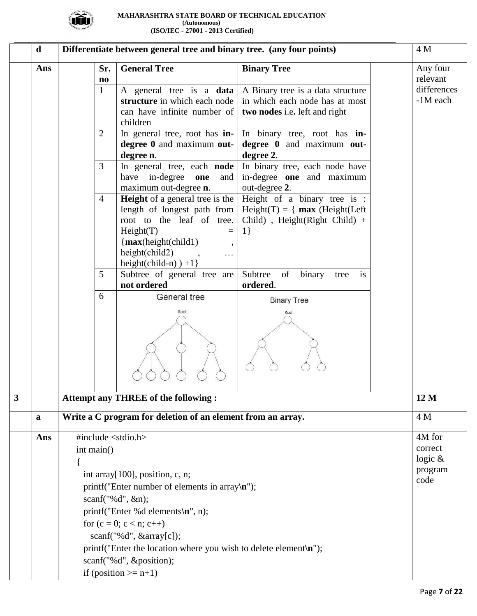

|                         | $\mathbf d$                                            |                |                               | Differentiate between general tree and binary tree. (any four points)                        |                                            | 4 M                  |  |
|-------------------------|--------------------------------------------------------|----------------|-------------------------------|----------------------------------------------------------------------------------------------|--------------------------------------------|----------------------|--|
|                         | Ans                                                    |                | Sr.<br>$\mathbf{n}\mathbf{o}$ | <b>General Tree</b>                                                                          | <b>Binary Tree</b>                         | Any four<br>relevant |  |
|                         |                                                        | $\mathbf{1}$   |                               | A general tree is a data                                                                     | A Binary tree is a data structure          | differences          |  |
|                         |                                                        |                |                               | structure in which each node                                                                 | in which each node has at most             | -1M each             |  |
|                         |                                                        |                |                               | can have infinite number of                                                                  | two nodes i.e. left and right              |                      |  |
|                         |                                                        |                |                               | children                                                                                     |                                            |                      |  |
|                         |                                                        | $\overline{2}$ |                               | In general tree, root has in-                                                                | In binary tree, root has in-               |                      |  |
|                         | degree 0 and maximum out-<br>degree 0 and maximum out- |                |                               |                                                                                              |                                            |                      |  |
|                         |                                                        |                |                               | degree n.                                                                                    | degree 2.                                  |                      |  |
|                         |                                                        | 3              |                               | In general tree, each <b>node</b>                                                            | In binary tree, each node have             |                      |  |
|                         |                                                        |                |                               | in-degree<br>have<br>one<br>and<br>maximum out-degree n.                                     | in-degree one and maximum<br>out-degree 2. |                      |  |
|                         |                                                        | $\overline{4}$ |                               | <b>Height</b> of a general tree is the                                                       | Height of a binary tree is :               |                      |  |
|                         |                                                        |                |                               | length of longest path from                                                                  | $Height(T) = \{ max (Height(Left$          |                      |  |
|                         |                                                        |                |                               | root to the leaf of tree.                                                                    | Child), Height(Right Child) +              |                      |  |
|                         |                                                        |                |                               | Height(T)<br>$=$                                                                             | 1                                          |                      |  |
|                         |                                                        |                |                               | $\{max(height(child)\}$<br>$\overline{\phantom{a}}$                                          |                                            |                      |  |
|                         |                                                        |                |                               | height(child2)<br>$\ldots$                                                                   |                                            |                      |  |
|                         |                                                        |                |                               | $height(child-n)$ +1}                                                                        |                                            |                      |  |
|                         |                                                        | 5              |                               | Subtree of general tree are                                                                  | Subtree<br>of<br>binary<br>is<br>tree      |                      |  |
|                         |                                                        |                |                               | not ordered<br>General tree                                                                  | ordered.                                   |                      |  |
|                         |                                                        | 6              | <b>Binary Tree</b>            |                                                                                              |                                            |                      |  |
|                         |                                                        |                |                               | Root                                                                                         | Root                                       |                      |  |
| $\overline{\mathbf{3}}$ |                                                        |                |                               | <b>Attempt any THREE of the following:</b>                                                   |                                            | 12 M                 |  |
|                         | a                                                      |                |                               | Write a C program for deletion of an element from an array.                                  |                                            | 4 M                  |  |
|                         | Ans                                                    |                |                               | #include <stdio.h></stdio.h>                                                                 |                                            | 4M for               |  |
|                         |                                                        | int main()     |                               |                                                                                              |                                            | correct              |  |
|                         |                                                        |                |                               |                                                                                              |                                            | logic $\&$           |  |
|                         |                                                        |                |                               | int array $[100]$ , position, c, n;                                                          |                                            | program              |  |
|                         |                                                        |                |                               | code                                                                                         |                                            |                      |  |
|                         |                                                        |                |                               | printf("Enter number of elements in array $\langle \mathbf{n}$ ");<br>scanf("% $d$ ", &n);   |                                            |                      |  |
|                         |                                                        |                |                               | printf("Enter %d elements\n", n);                                                            |                                            |                      |  |
|                         |                                                        |                |                               | for $(c = 0; c < n; c++)$                                                                    |                                            |                      |  |
|                         |                                                        |                |                               |                                                                                              |                                            |                      |  |
|                         |                                                        |                |                               | scan f("%d", & array[c]);                                                                    |                                            |                      |  |
|                         |                                                        |                |                               | printf("Enter the location where you wish to delete element $\langle \mathbf{n} \rangle$ "); |                                            |                      |  |
|                         |                                                        |                |                               | scanf("%d", &position);                                                                      |                                            |                      |  |
|                         |                                                        |                |                               | if (position $>=$ n+1)                                                                       |                                            |                      |  |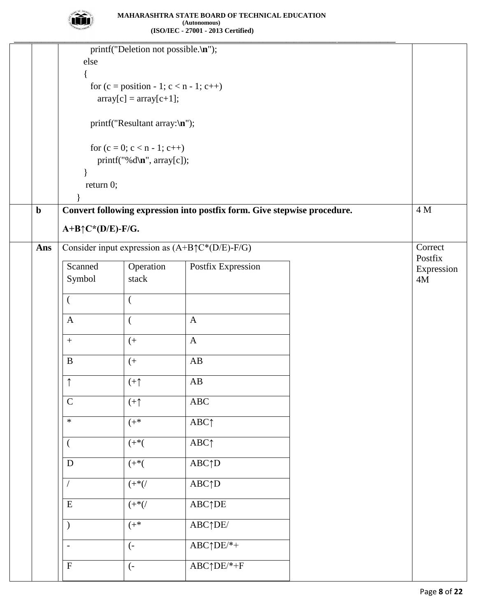

|             |                               | printf("Deletion not possible.\n");      |                                                                          |  |                    |  |  |  |  |
|-------------|-------------------------------|------------------------------------------|--------------------------------------------------------------------------|--|--------------------|--|--|--|--|
|             | else                          |                                          |                                                                          |  |                    |  |  |  |  |
|             |                               |                                          |                                                                          |  |                    |  |  |  |  |
|             |                               | for $(c = position - 1; c < n - 1; c++)$ |                                                                          |  |                    |  |  |  |  |
|             |                               | $array[c] = array[c+1];$                 |                                                                          |  |                    |  |  |  |  |
|             |                               |                                          |                                                                          |  |                    |  |  |  |  |
|             | printf("Resultant array:\n"); |                                          |                                                                          |  |                    |  |  |  |  |
|             | for $(c = 0; c < n - 1; c++)$ |                                          |                                                                          |  |                    |  |  |  |  |
|             |                               | printf("%d\n", array[c]);                |                                                                          |  |                    |  |  |  |  |
|             |                               |                                          |                                                                          |  |                    |  |  |  |  |
|             | return 0;                     |                                          |                                                                          |  |                    |  |  |  |  |
|             |                               |                                          |                                                                          |  |                    |  |  |  |  |
| $\mathbf b$ |                               |                                          | Convert following expression into postfix form. Give stepwise procedure. |  | 4 M                |  |  |  |  |
|             | $A+B\uparrow C^*(D/E)$ -F/G.  |                                          |                                                                          |  |                    |  |  |  |  |
|             |                               |                                          |                                                                          |  |                    |  |  |  |  |
| Ans         |                               |                                          | Consider input expression as $(A+B \uparrow C^*(D/E)-F/G)$               |  | Correct<br>Postfix |  |  |  |  |
|             | Scanned                       | Operation                                | Postfix Expression                                                       |  | Expression         |  |  |  |  |
|             | Symbol                        | stack                                    |                                                                          |  | 4M                 |  |  |  |  |
|             | $\left($                      | $\overline{(}$                           |                                                                          |  |                    |  |  |  |  |
|             |                               |                                          |                                                                          |  |                    |  |  |  |  |
|             | $\mathbf{A}$                  | $\overline{(\ }$                         | $\mathbf{A}$                                                             |  |                    |  |  |  |  |
|             | $\boldsymbol{+}$              | $($ +                                    | $\mathbf A$                                                              |  |                    |  |  |  |  |
|             |                               |                                          |                                                                          |  |                    |  |  |  |  |
|             | $\mathbf B$                   | $($ +                                    | AB                                                                       |  |                    |  |  |  |  |
|             | $\uparrow$                    | $(+\uparrow)$                            | $\mathbf{A}\mathbf{B}$                                                   |  |                    |  |  |  |  |
|             |                               |                                          |                                                                          |  |                    |  |  |  |  |
|             | $\mathbf C$                   | $(+\uparrow)$                            | $\rm ABC$                                                                |  |                    |  |  |  |  |
|             | $\ast$                        | $(+^{*}$                                 | ABC <sub>1</sub>                                                         |  |                    |  |  |  |  |
|             |                               |                                          |                                                                          |  |                    |  |  |  |  |
|             | <sup>1</sup>                  | $( + ^{*}( )$                            | ABC <sub>↑</sub>                                                         |  |                    |  |  |  |  |
|             | ${\bf D}$                     | $( + ^{*}( )$                            | $ABC \uparrow D$                                                         |  |                    |  |  |  |  |
|             |                               |                                          |                                                                          |  |                    |  |  |  |  |
|             |                               | $( + ^{*}()$                             | $\overline{ABC \uparrow D}$                                              |  |                    |  |  |  |  |
|             | ${\bf E}$                     | $( + ^{*}()$                             | <b>ABC</b> <sup>†</sup> DE                                               |  |                    |  |  |  |  |
|             |                               |                                          |                                                                          |  |                    |  |  |  |  |
|             | $\mathcal{E}$                 | $(+^{*}$                                 | ABC <sub>T</sub> DE                                                      |  |                    |  |  |  |  |
|             | $\overline{a}$                | $\left( -\right)$                        | $ABC \uparrow DE/*+$                                                     |  |                    |  |  |  |  |
|             |                               |                                          |                                                                          |  |                    |  |  |  |  |
|             | $\mathbf F$                   | $\left( -\right)$                        | $ABC\uparrow DE/*+F$                                                     |  |                    |  |  |  |  |
|             |                               |                                          |                                                                          |  |                    |  |  |  |  |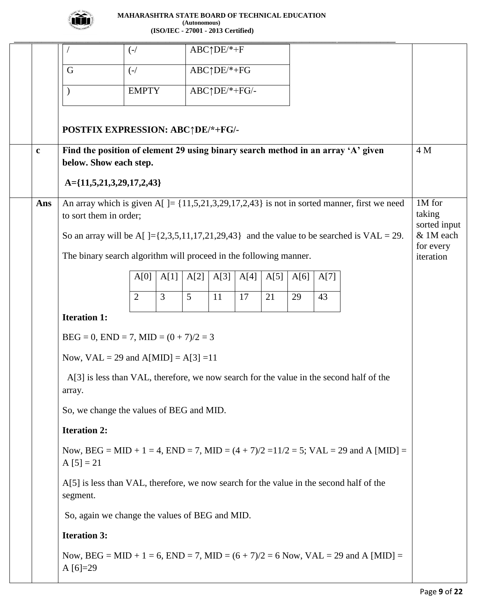

|             |                                                                                                            | $\left(\frac{-}{\sqrt{2}}\right)$ |                |      | $ABC \uparrow DE/* + F$ |      |      |      |      |                                                                                               |                                  |
|-------------|------------------------------------------------------------------------------------------------------------|-----------------------------------|----------------|------|-------------------------|------|------|------|------|-----------------------------------------------------------------------------------------------|----------------------------------|
|             | G                                                                                                          | $\left(\frac{-}{\sqrt{2}}\right)$ |                |      | ABC↑DE/*+FG             |      |      |      |      |                                                                                               |                                  |
|             | $\lambda$                                                                                                  | <b>EMPTY</b>                      |                |      | ABC↑DE/*+FG/-           |      |      |      |      |                                                                                               |                                  |
|             |                                                                                                            |                                   |                |      |                         |      |      |      |      |                                                                                               |                                  |
|             | POSTFIX EXPRESSION: ABC+DE/*+FG/-                                                                          |                                   |                |      |                         |      |      |      |      |                                                                                               |                                  |
| $\mathbf c$ | Find the position of element 29 using binary search method in an array 'A' given<br>below. Show each step. |                                   |                |      |                         |      |      |      |      |                                                                                               | 4 M                              |
|             | $A = \{11, 5, 21, 3, 29, 17, 2, 43\}$                                                                      |                                   |                |      |                         |      |      |      |      |                                                                                               |                                  |
| Ans         | to sort them in order;                                                                                     |                                   |                |      |                         |      |      |      |      | An array which is given $A[]=\{11,5,21,3,29,17,2,43\}$ is not in sorted manner, first we need | 1M for<br>taking<br>sorted input |
|             |                                                                                                            |                                   |                |      |                         |      |      |      |      | So an array will be A[]= $\{2,3,5,11,17,21,29,43\}$ and the value to be searched is VAL = 29. | & 1M each<br>for every           |
|             | The binary search algorithm will proceed in the following manner.                                          |                                   |                |      |                         |      |      |      |      |                                                                                               | iteration                        |
|             |                                                                                                            | A[0]                              | A[1]           | A[2] | A[3]                    | A[4] | A[5] | A[6] | A[7] |                                                                                               |                                  |
|             |                                                                                                            | $\overline{2}$                    | $\overline{3}$ | 5    | 11                      | 17   | 21   | 29   | 43   |                                                                                               |                                  |
|             | <b>Iteration 1:</b>                                                                                        |                                   |                |      |                         |      |      |      |      |                                                                                               |                                  |
|             | $BEG = 0$ , $END = 7$ , $MID = (0 + 7)/2 = 3$                                                              |                                   |                |      |                         |      |      |      |      |                                                                                               |                                  |
|             | Now, $VAL = 29$ and $A[MD] = A[3] = 11$                                                                    |                                   |                |      |                         |      |      |      |      |                                                                                               |                                  |
|             | A[3] is less than VAL, therefore, we now search for the value in the second half of the<br>array.          |                                   |                |      |                         |      |      |      |      |                                                                                               |                                  |
|             | So, we change the values of BEG and MID.                                                                   |                                   |                |      |                         |      |      |      |      |                                                                                               |                                  |
|             | <b>Iteration 2:</b>                                                                                        |                                   |                |      |                         |      |      |      |      |                                                                                               |                                  |
|             | $A [5] = 21$                                                                                               |                                   |                |      |                         |      |      |      |      | Now, BEG = MID + 1 = 4, END = 7, MID = $(4 + 7)/2 = 11/2 = 5$ ; VAL = 29 and A [MID] =        |                                  |
|             | A[5] is less than VAL, therefore, we now search for the value in the second half of the<br>segment.        |                                   |                |      |                         |      |      |      |      |                                                                                               |                                  |
|             | So, again we change the values of BEG and MID.                                                             |                                   |                |      |                         |      |      |      |      |                                                                                               |                                  |
|             | <b>Iteration 3:</b>                                                                                        |                                   |                |      |                         |      |      |      |      |                                                                                               |                                  |
|             | A $[6] = 29$                                                                                               |                                   |                |      |                         |      |      |      |      | Now, BEG = MID + 1 = 6, END = 7, MID = $(6 + 7)/2 = 6$ Now, VAL = 29 and A [MID] =            |                                  |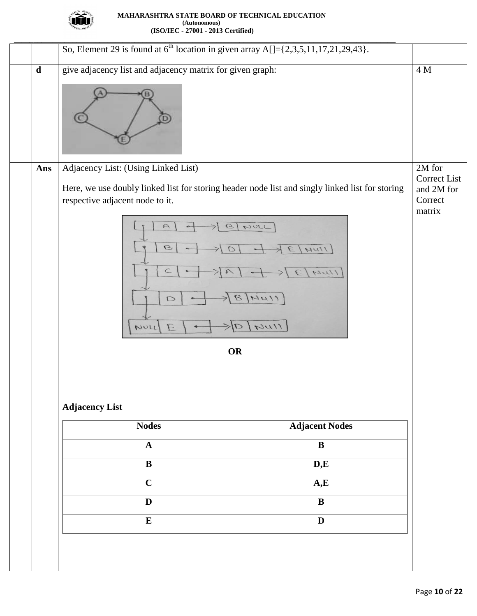

|             | So, Element 29 is found at $6^{\text{th}}$ location in given array A[]={2,3,5,11,17,21,29,43}.                                                                                                                                                                  |                                                 |
|-------------|-----------------------------------------------------------------------------------------------------------------------------------------------------------------------------------------------------------------------------------------------------------------|-------------------------------------------------|
| $\mathbf d$ | give adjacency list and adjacency matrix for given graph:                                                                                                                                                                                                       | $4\,\rm M$                                      |
| Ans         | Adjacency List: (Using Linked List)                                                                                                                                                                                                                             | 2M for                                          |
|             | Here, we use doubly linked list for storing header node list and singly linked list for storing<br>respective adjacent node to it.<br>$\cap$<br>NULL<br>$\mathcal{G}$<br>$\mathcal{G}$<br>1111<br>$\subset$<br>NUL<br>NU11<br>$\Box$<br>1117<br>E<br>NULL<br>OR | Correct List<br>and 2M for<br>Correct<br>matrix |
|             |                                                                                                                                                                                                                                                                 |                                                 |
|             | <b>Adjacency List</b>                                                                                                                                                                                                                                           |                                                 |
|             | <b>Adjacent Nodes</b><br><b>Nodes</b>                                                                                                                                                                                                                           |                                                 |
|             | $\overline{\mathbf{B}}$<br>$\mathbf{A}$                                                                                                                                                                                                                         |                                                 |
|             | $\overline{\mathbf{B}}$<br>D,E                                                                                                                                                                                                                                  |                                                 |
|             | $\mathbf C$<br>A,E                                                                                                                                                                                                                                              |                                                 |
|             | $\mathbf{D}$<br>$\bf{B}$                                                                                                                                                                                                                                        |                                                 |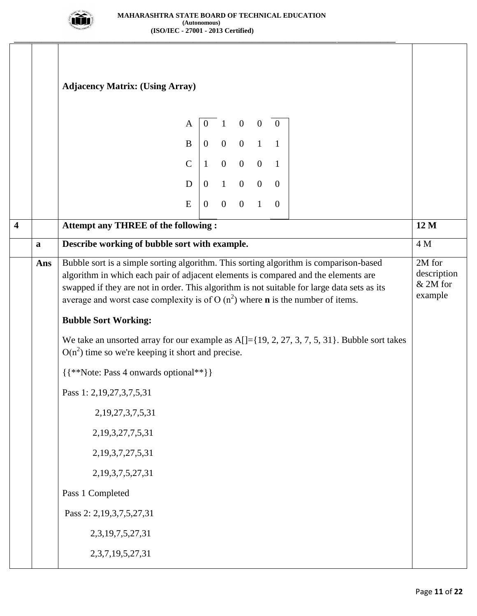

**\_\_\_\_\_\_\_\_\_\_\_\_\_\_\_\_\_\_\_\_\_\_\_\_\_\_\_\_\_\_\_\_\_\_\_\_\_\_\_\_\_\_\_\_\_\_\_\_\_\_\_\_\_\_\_\_\_\_\_\_\_\_\_\_\_\_\_\_\_\_\_\_\_\_\_\_\_\_\_\_\_\_\_\_\_\_\_\_\_\_\_\_\_\_\_\_\_\_**

|                         |     | <b>Adjacency Matrix: (Using Array)</b><br>$\mathbf{A}$                                                                                                                                                                                                                                                                                                                 |                |                                                                                    |             |  | $\mathbf{0}$   |                                                |      |
|-------------------------|-----|------------------------------------------------------------------------------------------------------------------------------------------------------------------------------------------------------------------------------------------------------------------------------------------------------------------------------------------------------------------------|----------------|------------------------------------------------------------------------------------|-------------|--|----------------|------------------------------------------------|------|
|                         |     |                                                                                                                                                                                                                                                                                                                                                                        |                | $1 \quad 0 \quad 0$<br>$\begin{array}{c cccc}\nB & 0 & 0 & 0 & 1 & 1\n\end{array}$ |             |  |                |                                                |      |
|                         |     |                                                                                                                                                                                                                                                                                                                                                                        |                | $C \begin{bmatrix} 1 & 0 & 0 & 0 & 1 \end{bmatrix}$                                |             |  |                |                                                |      |
|                         |     | D                                                                                                                                                                                                                                                                                                                                                                      |                | $\begin{array}{ccccccccc}\n0 & 1 & 0 & 0 & 0\n\end{array}$                         |             |  |                |                                                |      |
|                         |     | E                                                                                                                                                                                                                                                                                                                                                                      | $\overline{0}$ | $\overline{0}$                                                                     | $0 \quad 1$ |  | $\overline{0}$ |                                                |      |
| $\overline{\mathbf{4}}$ |     | <b>Attempt any THREE of the following:</b>                                                                                                                                                                                                                                                                                                                             |                |                                                                                    |             |  |                |                                                | 12 M |
|                         | a   | Describe working of bubble sort with example.                                                                                                                                                                                                                                                                                                                          |                |                                                                                    |             |  |                |                                                | 4 M  |
|                         | Ans | Bubble sort is a simple sorting algorithm. This sorting algorithm is comparison-based<br>algorithm in which each pair of adjacent elements is compared and the elements are<br>swapped if they are not in order. This algorithm is not suitable for large data sets as its<br>average and worst case complexity is of O $(n^2)$ where <b>n</b> is the number of items. |                |                                                                                    |             |  |                | $2M$ for<br>description<br>& 2M for<br>example |      |
|                         |     | <b>Bubble Sort Working:</b>                                                                                                                                                                                                                                                                                                                                            |                |                                                                                    |             |  |                |                                                |      |
|                         |     | We take an unsorted array for our example as $A[] = \{19, 2, 27, 3, 7, 5, 31\}$ . Bubble sort takes<br>$O(n^2)$ time so we're keeping it short and precise.                                                                                                                                                                                                            |                |                                                                                    |             |  |                |                                                |      |
|                         |     | {{**Note: Pass 4 onwards optional**}}                                                                                                                                                                                                                                                                                                                                  |                |                                                                                    |             |  |                |                                                |      |
|                         |     | Pass 1: 2, 19, 27, 3, 7, 5, 31                                                                                                                                                                                                                                                                                                                                         |                |                                                                                    |             |  |                |                                                |      |
|                         |     | 2, 19, 27, 3, 7, 5, 31                                                                                                                                                                                                                                                                                                                                                 |                |                                                                                    |             |  |                |                                                |      |
|                         |     | 2, 19, 3, 27, 7, 5, 31                                                                                                                                                                                                                                                                                                                                                 |                |                                                                                    |             |  |                |                                                |      |
|                         |     | 2, 19, 3, 7, 27, 5, 31                                                                                                                                                                                                                                                                                                                                                 |                |                                                                                    |             |  |                |                                                |      |
|                         |     | 2, 19, 3, 7, 5, 27, 31                                                                                                                                                                                                                                                                                                                                                 |                |                                                                                    |             |  |                |                                                |      |
|                         |     | Pass 1 Completed                                                                                                                                                                                                                                                                                                                                                       |                |                                                                                    |             |  |                |                                                |      |
|                         |     | Pass 2: 2,19,3,7,5,27,31                                                                                                                                                                                                                                                                                                                                               |                |                                                                                    |             |  |                |                                                |      |
|                         |     | 2,3,19,7,5,27,31                                                                                                                                                                                                                                                                                                                                                       |                |                                                                                    |             |  |                |                                                |      |
|                         |     | 2,3,7,19,5,27,31                                                                                                                                                                                                                                                                                                                                                       |                |                                                                                    |             |  |                |                                                |      |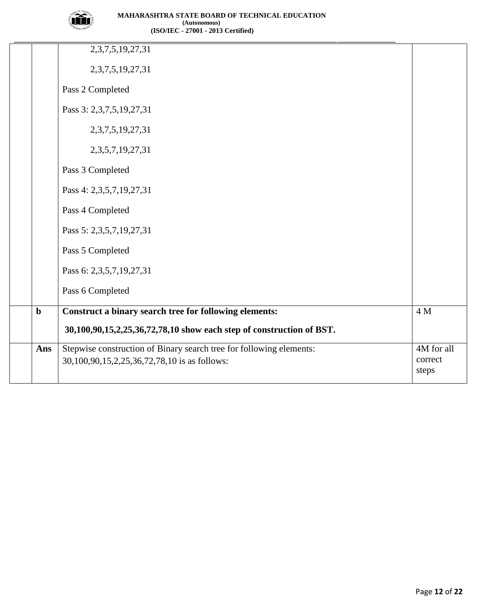

|             | 2,3,7,5,19,27,31                                                     |            |
|-------------|----------------------------------------------------------------------|------------|
|             | 2, 3, 7, 5, 19, 27, 31                                               |            |
|             | Pass 2 Completed                                                     |            |
|             | Pass 3: 2,3,7,5,19,27,31                                             |            |
|             | 2, 3, 7, 5, 19, 27, 31                                               |            |
|             | 2,3,5,7,19,27,31                                                     |            |
|             | Pass 3 Completed                                                     |            |
|             | Pass 4: 2,3,5,7,19,27,31                                             |            |
|             | Pass 4 Completed                                                     |            |
|             | Pass 5: 2,3,5,7,19,27,31                                             |            |
|             | Pass 5 Completed                                                     |            |
|             | Pass 6: 2,3,5,7,19,27,31                                             |            |
|             | Pass 6 Completed                                                     |            |
| $\mathbf b$ | Construct a binary search tree for following elements:               | 4 M        |
|             | 30,100,90,15,2,25,36,72,78,10 show each step of construction of BST. |            |
| Ans         | Stepwise construction of Binary search tree for following elements:  | 4M for all |
|             | 30,100,90,15,2,25,36,72,78,10 is as follows:                         | correct    |
|             |                                                                      | steps      |
|             |                                                                      |            |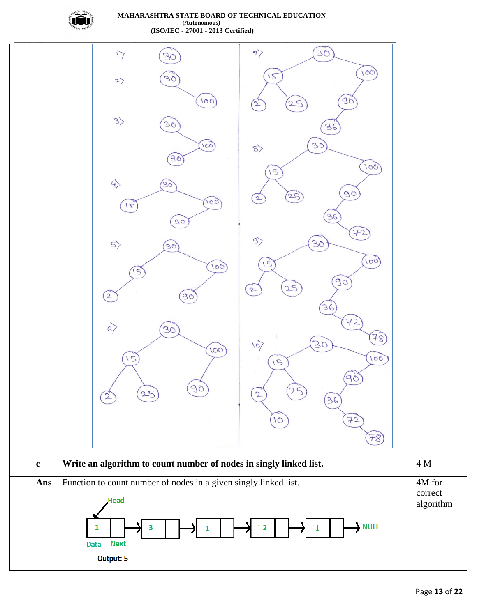

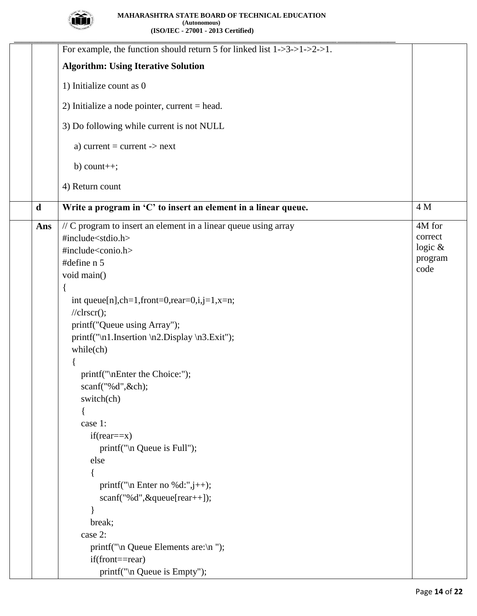

| For example, the function should return 5 for linked list $1-3-5-1-2-1$ .     |            |
|-------------------------------------------------------------------------------|------------|
| <b>Algorithm: Using Iterative Solution</b>                                    |            |
| 1) Initialize count as 0                                                      |            |
| 2) Initialize a node pointer, current $=$ head.                               |            |
| 3) Do following while current is not NULL                                     |            |
| a) current = current -> $next$                                                |            |
| $b)$ count++;                                                                 |            |
| 4) Return count                                                               |            |
| Write a program in 'C' to insert an element in a linear queue.<br>$\mathbf d$ | 4 M        |
| // C program to insert an element in a linear queue using array<br>Ans        | 4M for     |
| #include <stdio.h></stdio.h>                                                  | correct    |
| #include <conio.h></conio.h>                                                  | logic $\&$ |
| #define n 5                                                                   | program    |
| void main()                                                                   | code       |
|                                                                               |            |
| int queue[n], $ch=1$ , $front=0$ , $rear=0$ , $i,j=1$ , $x=n$ ;               |            |
| $//$ clrscr $();$                                                             |            |
| printf("Queue using Array");                                                  |            |
| printf("\n1.Insertion \n2.Display \n3.Exit");                                 |            |
| $while$ (ch)                                                                  |            |
|                                                                               |            |
| printf("\nEnter the Choice:");                                                |            |
| scanf("%d",&ch);                                                              |            |
| switch(ch)                                                                    |            |
|                                                                               |            |
| case 1:                                                                       |            |
| $if(rear==x)$                                                                 |            |
| printf("\n Queue is Full");                                                   |            |
| else                                                                          |            |
|                                                                               |            |
| printf("\n Enter no %d:", $j$ ++);                                            |            |
| scanf("%d", &queue[rear++]);                                                  |            |
| ∤                                                                             |            |
| break;                                                                        |            |
| case 2:                                                                       |            |
| printf("\n Queue Elements are:\n ");                                          |            |
| $if (front=rear)$                                                             |            |
| printf("\n Queue is Empty");                                                  |            |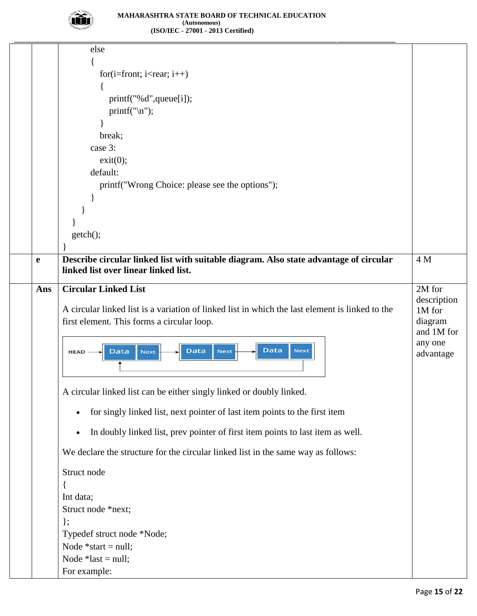

|             | else                                                                                                  |                       |
|-------------|-------------------------------------------------------------------------------------------------------|-----------------------|
|             |                                                                                                       |                       |
|             | for $(i=front; i$                                                                                     |                       |
|             |                                                                                                       |                       |
|             | printf("%d",queue[i]);                                                                                |                       |
|             | print(f("n");                                                                                         |                       |
|             |                                                                                                       |                       |
|             | break;                                                                                                |                       |
|             | case 3:                                                                                               |                       |
|             | exit(0);                                                                                              |                       |
|             | default:                                                                                              |                       |
|             | printf("Wrong Choice: please see the options");                                                       |                       |
|             |                                                                                                       |                       |
|             |                                                                                                       |                       |
|             |                                                                                                       |                       |
|             | getch();                                                                                              |                       |
|             |                                                                                                       |                       |
| $\mathbf e$ | Describe circular linked list with suitable diagram. Also state advantage of circular                 | 4 M                   |
|             | linked list over linear linked list.                                                                  |                       |
| Ans         | <b>Circular Linked List</b>                                                                           | 2M for                |
|             |                                                                                                       | description           |
|             | A circular linked list is a variation of linked list in which the last element is linked to the       | 1M for                |
|             | first element. This forms a circular loop.                                                            | diagram<br>and 1M for |
|             |                                                                                                       | any one               |
|             | <b>Data</b><br><b>Next</b><br><b>Data</b><br><b>Next</b><br><b>Data</b><br><b>Next</b><br><b>HEAD</b> | advantage             |
|             |                                                                                                       |                       |
|             |                                                                                                       |                       |
|             | A circular linked list can be either singly linked or doubly linked.                                  |                       |
|             | for singly linked list, next pointer of last item points to the first item                            |                       |
|             | In doubly linked list, prev pointer of first item points to last item as well.                        |                       |
|             | We declare the structure for the circular linked list in the same way as follows:                     |                       |
|             | Struct node                                                                                           |                       |
|             |                                                                                                       |                       |
|             | Int data;                                                                                             |                       |
|             | Struct node *next;                                                                                    |                       |
|             | $\}$ ;                                                                                                |                       |
|             | Typedef struct node *Node;                                                                            |                       |
|             | Node $*start = null;$                                                                                 |                       |
|             | Node $*last = null;$                                                                                  |                       |
|             | For example:                                                                                          |                       |
|             |                                                                                                       |                       |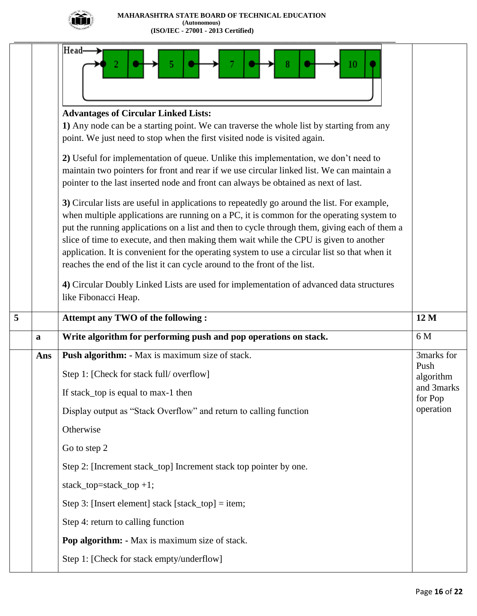

|   |             | <b>Head-</b><br>10                                                                                                                                                                                                                                                                                                                                                                                                                                                                                                                                             |                      |
|---|-------------|----------------------------------------------------------------------------------------------------------------------------------------------------------------------------------------------------------------------------------------------------------------------------------------------------------------------------------------------------------------------------------------------------------------------------------------------------------------------------------------------------------------------------------------------------------------|----------------------|
|   |             | <b>Advantages of Circular Linked Lists:</b>                                                                                                                                                                                                                                                                                                                                                                                                                                                                                                                    |                      |
|   |             | 1) Any node can be a starting point. We can traverse the whole list by starting from any<br>point. We just need to stop when the first visited node is visited again.                                                                                                                                                                                                                                                                                                                                                                                          |                      |
|   |             | 2) Useful for implementation of queue. Unlike this implementation, we don't need to<br>maintain two pointers for front and rear if we use circular linked list. We can maintain a<br>pointer to the last inserted node and front can always be obtained as next of last.                                                                                                                                                                                                                                                                                       |                      |
|   |             | 3) Circular lists are useful in applications to repeatedly go around the list. For example,<br>when multiple applications are running on a PC, it is common for the operating system to<br>put the running applications on a list and then to cycle through them, giving each of them a<br>slice of time to execute, and then making them wait while the CPU is given to another<br>application. It is convenient for the operating system to use a circular list so that when it<br>reaches the end of the list it can cycle around to the front of the list. |                      |
|   |             | 4) Circular Doubly Linked Lists are used for implementation of advanced data structures<br>like Fibonacci Heap.                                                                                                                                                                                                                                                                                                                                                                                                                                                |                      |
|   |             |                                                                                                                                                                                                                                                                                                                                                                                                                                                                                                                                                                |                      |
| 5 |             | <b>Attempt any TWO of the following:</b>                                                                                                                                                                                                                                                                                                                                                                                                                                                                                                                       | 12 M                 |
|   | $\mathbf a$ | Write algorithm for performing push and pop operations on stack.                                                                                                                                                                                                                                                                                                                                                                                                                                                                                               | 6 M                  |
|   | Ans         | Push algorithm: - Max is maximum size of stack.                                                                                                                                                                                                                                                                                                                                                                                                                                                                                                                | 3marks for           |
|   |             | Step 1: [Check for stack full/ overflow]                                                                                                                                                                                                                                                                                                                                                                                                                                                                                                                       | Push<br>algorithm    |
|   |             | If stack_top is equal to max-1 then                                                                                                                                                                                                                                                                                                                                                                                                                                                                                                                            | and 3 marks          |
|   |             | Display output as "Stack Overflow" and return to calling function                                                                                                                                                                                                                                                                                                                                                                                                                                                                                              | for Pop<br>operation |
|   |             | Otherwise                                                                                                                                                                                                                                                                                                                                                                                                                                                                                                                                                      |                      |
|   |             | Go to step 2                                                                                                                                                                                                                                                                                                                                                                                                                                                                                                                                                   |                      |
|   |             | Step 2: [Increment stack_top] Increment stack top pointer by one.                                                                                                                                                                                                                                                                                                                                                                                                                                                                                              |                      |
|   |             | stack_top=stack_top +1;                                                                                                                                                                                                                                                                                                                                                                                                                                                                                                                                        |                      |
|   |             | Step 3: [Insert element] stack [stack_top] = item;                                                                                                                                                                                                                                                                                                                                                                                                                                                                                                             |                      |
|   |             | Step 4: return to calling function                                                                                                                                                                                                                                                                                                                                                                                                                                                                                                                             |                      |
|   |             | Pop algorithm: - Max is maximum size of stack.                                                                                                                                                                                                                                                                                                                                                                                                                                                                                                                 |                      |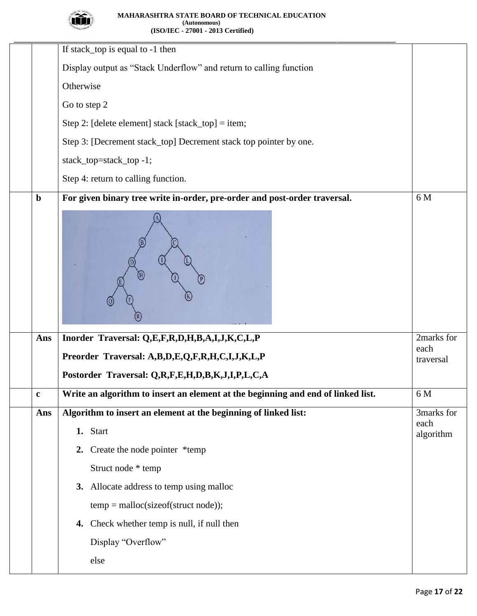

|             | If stack_top is equal to -1 then                                                 |                   |
|-------------|----------------------------------------------------------------------------------|-------------------|
|             |                                                                                  |                   |
|             | Display output as "Stack Underflow" and return to calling function               |                   |
|             | Otherwise                                                                        |                   |
|             | Go to step 2                                                                     |                   |
|             | Step 2: [delete element] stack [stack_top] = item;                               |                   |
|             | Step 3: [Decrement stack_top] Decrement stack top pointer by one.                |                   |
|             | stack_top=stack_top -1;                                                          |                   |
|             | Step 4: return to calling function.                                              |                   |
| $\mathbf b$ | For given binary tree write in-order, pre-order and post-order traversal.        | 6 M               |
|             |                                                                                  |                   |
| Ans         | Inorder Traversal: Q,E,F,R,D,H,B,A,I,J,K,C,L,P                                   | 2marks for        |
|             | Preorder Traversal: A,B,D,E,Q,F,R,H,C,I,J,K,L,P                                  | each<br>traversal |
|             | Postorder Traversal: Q,R,F,E,H,D,B,K,J,I,P,L,C,A                                 |                   |
| $\mathbf c$ | Write an algorithm to insert an element at the beginning and end of linked list. | 6 M               |
| Ans         | Algorithm to insert an element at the beginning of linked list:                  | 3marks for        |
|             | 1. Start                                                                         | each<br>algorithm |
|             | 2. Create the node pointer *temp                                                 |                   |
|             | Struct node * temp                                                               |                   |
|             | 3. Allocate address to temp using malloc                                         |                   |
|             | $temp = \text{malloc}(sizeof(struct node));$                                     |                   |
|             | Check whether temp is null, if null then<br>4.                                   |                   |
|             | Display "Overflow"                                                               |                   |
|             | else                                                                             |                   |
|             |                                                                                  |                   |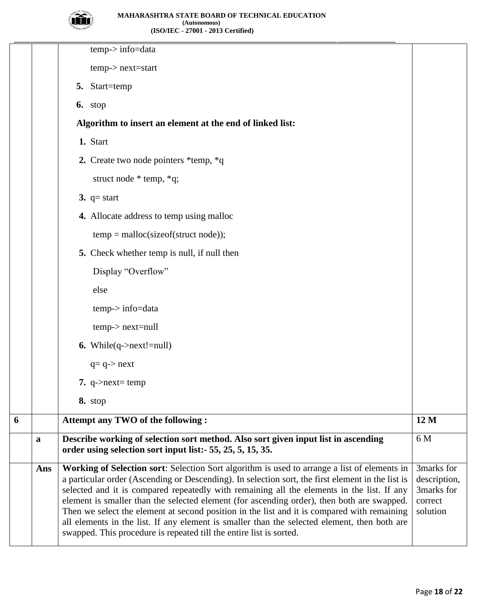

|   |             | $temp$ -> info=data                                                                                                                                                                                                                                                                                                                                                                                                                                                                                                                                                                                                                                                 |                                                                 |
|---|-------------|---------------------------------------------------------------------------------------------------------------------------------------------------------------------------------------------------------------------------------------------------------------------------------------------------------------------------------------------------------------------------------------------------------------------------------------------------------------------------------------------------------------------------------------------------------------------------------------------------------------------------------------------------------------------|-----------------------------------------------------------------|
|   |             | $temp$ -> $next$ = start                                                                                                                                                                                                                                                                                                                                                                                                                                                                                                                                                                                                                                            |                                                                 |
|   |             | 5. Start=temp                                                                                                                                                                                                                                                                                                                                                                                                                                                                                                                                                                                                                                                       |                                                                 |
|   |             | 6. stop                                                                                                                                                                                                                                                                                                                                                                                                                                                                                                                                                                                                                                                             |                                                                 |
|   |             | Algorithm to insert an element at the end of linked list:                                                                                                                                                                                                                                                                                                                                                                                                                                                                                                                                                                                                           |                                                                 |
|   |             | 1. Start                                                                                                                                                                                                                                                                                                                                                                                                                                                                                                                                                                                                                                                            |                                                                 |
|   |             | 2. Create two node pointers *temp, *q                                                                                                                                                                                                                                                                                                                                                                                                                                                                                                                                                                                                                               |                                                                 |
|   |             | struct node $*$ temp, $*q$ ;                                                                                                                                                                                                                                                                                                                                                                                                                                                                                                                                                                                                                                        |                                                                 |
|   |             | 3. $q = start$                                                                                                                                                                                                                                                                                                                                                                                                                                                                                                                                                                                                                                                      |                                                                 |
|   |             | 4. Allocate address to temp using malloc                                                                                                                                                                                                                                                                                                                                                                                                                                                                                                                                                                                                                            |                                                                 |
|   |             | $temp = malloc(sizeof(struct node));$                                                                                                                                                                                                                                                                                                                                                                                                                                                                                                                                                                                                                               |                                                                 |
|   |             | 5. Check whether temp is null, if null then                                                                                                                                                                                                                                                                                                                                                                                                                                                                                                                                                                                                                         |                                                                 |
|   |             | Display "Overflow"                                                                                                                                                                                                                                                                                                                                                                                                                                                                                                                                                                                                                                                  |                                                                 |
|   |             | else                                                                                                                                                                                                                                                                                                                                                                                                                                                                                                                                                                                                                                                                |                                                                 |
|   |             | $temp$ -> info=data                                                                                                                                                                                                                                                                                                                                                                                                                                                                                                                                                                                                                                                 |                                                                 |
|   |             | $temp$ -> $next$ = null                                                                                                                                                                                                                                                                                                                                                                                                                                                                                                                                                                                                                                             |                                                                 |
|   |             | <b>6.</b> While(q->next!=null)                                                                                                                                                                                                                                                                                                                                                                                                                                                                                                                                                                                                                                      |                                                                 |
|   |             | $q = q \rightarrow next$                                                                                                                                                                                                                                                                                                                                                                                                                                                                                                                                                                                                                                            |                                                                 |
|   |             | 7. q- $>$ next= temp                                                                                                                                                                                                                                                                                                                                                                                                                                                                                                                                                                                                                                                |                                                                 |
|   |             | 8. stop                                                                                                                                                                                                                                                                                                                                                                                                                                                                                                                                                                                                                                                             |                                                                 |
| 6 |             | Attempt any TWO of the following:                                                                                                                                                                                                                                                                                                                                                                                                                                                                                                                                                                                                                                   | 12 M                                                            |
|   | $\mathbf a$ | Describe working of selection sort method. Also sort given input list in ascending<br>order using selection sort input list: - 55, 25, 5, 15, 35.                                                                                                                                                                                                                                                                                                                                                                                                                                                                                                                   | 6 M                                                             |
|   | Ans         | Working of Selection sort: Selection Sort algorithm is used to arrange a list of elements in<br>a particular order (Ascending or Descending). In selection sort, the first element in the list is<br>selected and it is compared repeatedly with remaining all the elements in the list. If any<br>element is smaller than the selected element (for ascending order), then both are swapped.<br>Then we select the element at second position in the list and it is compared with remaining<br>all elements in the list. If any element is smaller than the selected element, then both are<br>swapped. This procedure is repeated till the entire list is sorted. | 3marks for<br>description,<br>3marks for<br>correct<br>solution |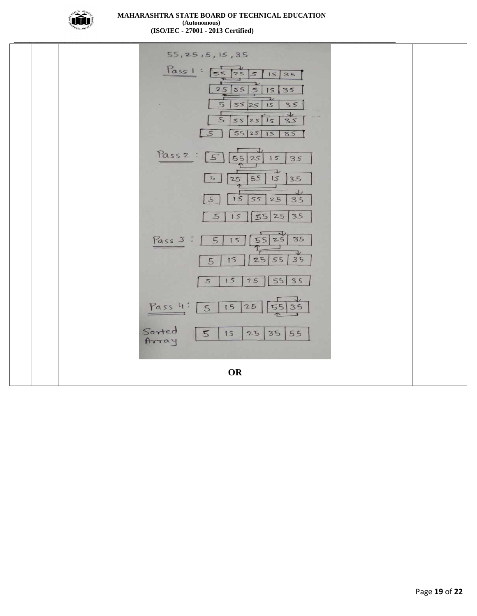

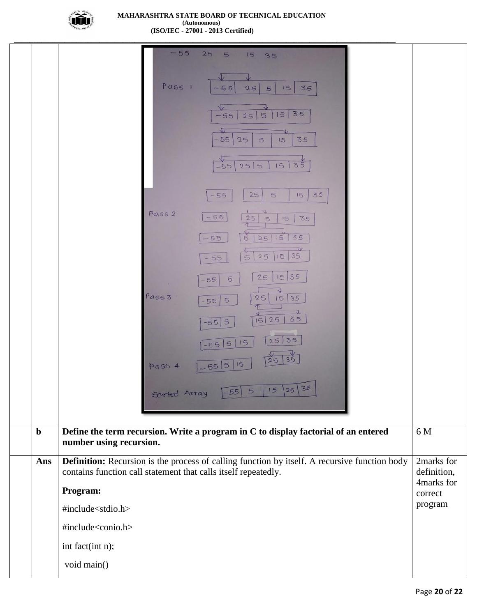

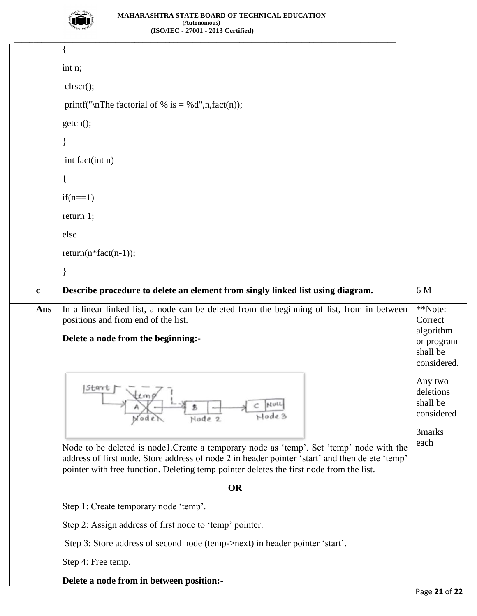

|             | int n;                                                                                                                                                                                                                                                                                 |                                                          |
|-------------|----------------------------------------------------------------------------------------------------------------------------------------------------------------------------------------------------------------------------------------------------------------------------------------|----------------------------------------------------------|
|             | clrscr();                                                                                                                                                                                                                                                                              |                                                          |
|             | printf("\nThe factorial of % is = %d",n,fact(n));                                                                                                                                                                                                                                      |                                                          |
|             | getch();                                                                                                                                                                                                                                                                               |                                                          |
|             |                                                                                                                                                                                                                                                                                        |                                                          |
|             | int fact(int n)                                                                                                                                                                                                                                                                        |                                                          |
|             |                                                                                                                                                                                                                                                                                        |                                                          |
|             | $if(n==1)$                                                                                                                                                                                                                                                                             |                                                          |
|             | return 1;                                                                                                                                                                                                                                                                              |                                                          |
|             | else                                                                                                                                                                                                                                                                                   |                                                          |
|             | $return(n * fact(n-1));$                                                                                                                                                                                                                                                               |                                                          |
|             |                                                                                                                                                                                                                                                                                        |                                                          |
| $\mathbf c$ | Describe procedure to delete an element from singly linked list using diagram.                                                                                                                                                                                                         | 6 M                                                      |
| Ans         | In a linear linked list, a node can be deleted from the beginning of list, from in between<br>positions and from end of the list.                                                                                                                                                      | **Note:<br>Correct                                       |
|             | Delete a node from the beginning:-                                                                                                                                                                                                                                                     | algorithm<br>or program<br>shall be<br>considered.       |
|             | Start<br>Hode 3<br>Node 2                                                                                                                                                                                                                                                              | Any two<br>deletions<br>shall be<br>considered<br>3marks |
|             | Node to be deleted is node1. Create a temporary node as 'temp'. Set 'temp' node with the<br>address of first node. Store address of node 2 in header pointer 'start' and then delete 'temp'<br>pointer with free function. Deleting temp pointer deletes the first node from the list. | each                                                     |
|             | <b>OR</b>                                                                                                                                                                                                                                                                              |                                                          |
|             | Step 1: Create temporary node 'temp'.                                                                                                                                                                                                                                                  |                                                          |
|             | Step 2: Assign address of first node to 'temp' pointer.                                                                                                                                                                                                                                |                                                          |
|             | Step 3: Store address of second node (temp->next) in header pointer 'start'.                                                                                                                                                                                                           |                                                          |
|             | Step 4: Free temp.                                                                                                                                                                                                                                                                     |                                                          |
|             | Delete a node from in between position:-                                                                                                                                                                                                                                               |                                                          |